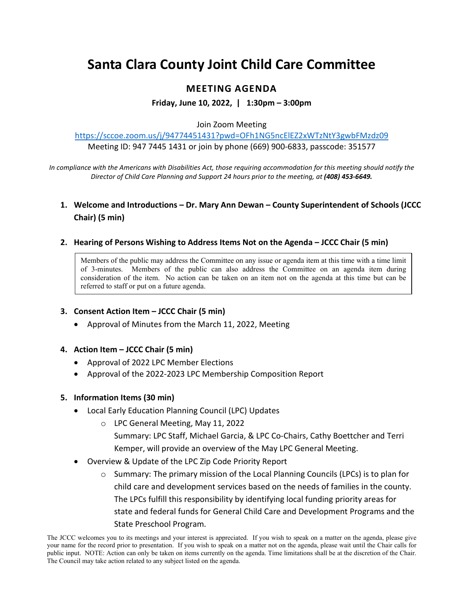# **Santa Clara County Joint Child Care Committee**

# **MEETING AGENDA**

**Friday, June 10, 2022, | 1:30pm – 3:00pm**

#### Join Zoom Meeting

<https://sccoe.zoom.us/j/94774451431?pwd=OFh1NG5ncElEZ2xWTzNtY3gwbFMzdz09> Meeting ID: 947 7445 1431 or join by phone (669) 900-6833, passcode: 351577

*In compliance with the Americans with Disabilities Act, those requiring accommodation for this meeting should notify the Director of Child Care Planning and Support 24 hours prior to the meeting, at (408) 453-6649.*

## **1. Welcome and Introductions – Dr. Mary Ann Dewan – County Superintendent of Schools (JCCC Chair) (5 min)**

#### **2. Hearing of Persons Wishing to Address Items Not on the Agenda – JCCC Chair (5 min)**

Members of the public may address the Committee on any issue or agenda item at this time with a time limit of 3-minutes. Members of the public can also address the Committee on an agenda item during consideration of the item. No action can be taken on an item not on the agenda at this time but can be referred to staff or put on a future agenda.

### **3. Consent Action Item – JCCC Chair (5 min)**

• Approval of Minutes from the March 11, 2022, Meeting

#### **4. Action Item – JCCC Chair (5 min)**

- Approval of 2022 LPC Member Elections
- Approval of the 2022-2023 LPC Membership Composition Report

#### **5. Information Items (30 min)**

- Local Early Education Planning Council (LPC) Updates
	- o LPC General Meeting, May 11, 2022

Summary: LPC Staff, Michael Garcia, & LPC Co-Chairs, Cathy Boettcher and Terri Kemper, will provide an overview of the May LPC General Meeting.

- Overview & Update of the LPC Zip Code Priority Report
	- $\circ$  Summary: The primary mission of the Local Planning Councils (LPCs) is to plan for child care and development services based on the needs of families in the county. The LPCs fulfill this responsibility by identifying local funding priority areas for state and federal funds for General Child Care and Development Programs and the State Preschool Program.